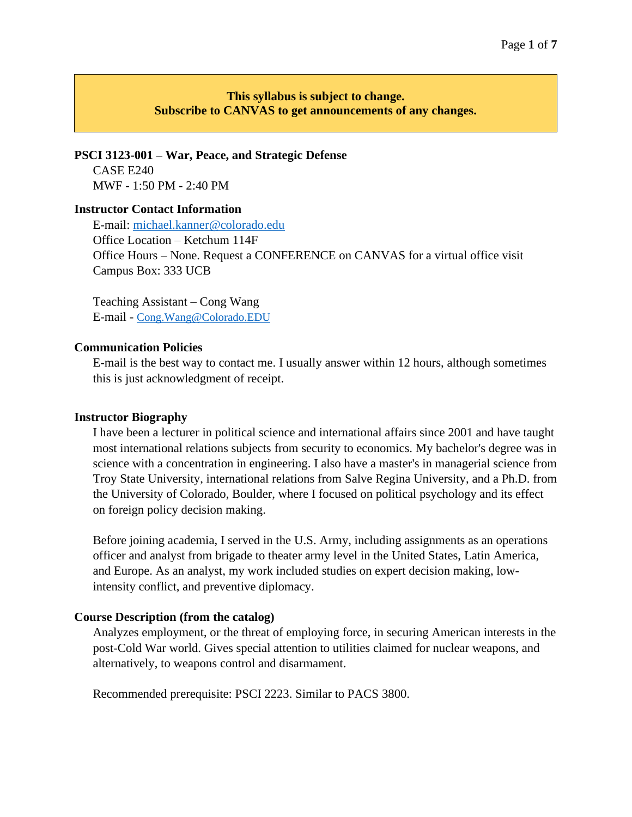# **This syllabus is subject to change. Subscribe to CANVAS to get announcements of any changes.**

**PSCI 3123-001 – War, Peace, and Strategic Defense** CASE E240 MWF - 1:50 PM - 2:40 PM

#### **Instructor Contact Information**

E-mail: [michael.kanner@colorado.edu](mailto:michael.kanner@colorado.edu) Office Location – Ketchum 114F Office Hours – None. Request a CONFERENCE on CANVAS for a virtual office visit Campus Box: 333 UCB

Teaching Assistant – Cong Wang E-mail - [Cong.Wang@Colorado.EDU](mailto:Cong.Wang@Colorado.EDU)

#### **Communication Policies**

E-mail is the best way to contact me. I usually answer within 12 hours, although sometimes this is just acknowledgment of receipt.

#### **Instructor Biography**

I have been a lecturer in political science and international affairs since 2001 and have taught most international relations subjects from security to economics. My bachelor's degree was in science with a concentration in engineering. I also have a master's in managerial science from Troy State University, international relations from Salve Regina University, and a Ph.D. from the University of Colorado, Boulder, where I focused on political psychology and its effect on foreign policy decision making.

Before joining academia, I served in the U.S. Army, including assignments as an operations officer and analyst from brigade to theater army level in the United States, Latin America, and Europe. As an analyst, my work included studies on expert decision making, lowintensity conflict, and preventive diplomacy.

#### **Course Description (from the catalog)**

Analyzes employment, or the threat of employing force, in securing American interests in the post-Cold War world. Gives special attention to utilities claimed for nuclear weapons, and alternatively, to weapons control and disarmament.

Recommended prerequisite: PSCI 2223. Similar to PACS 3800.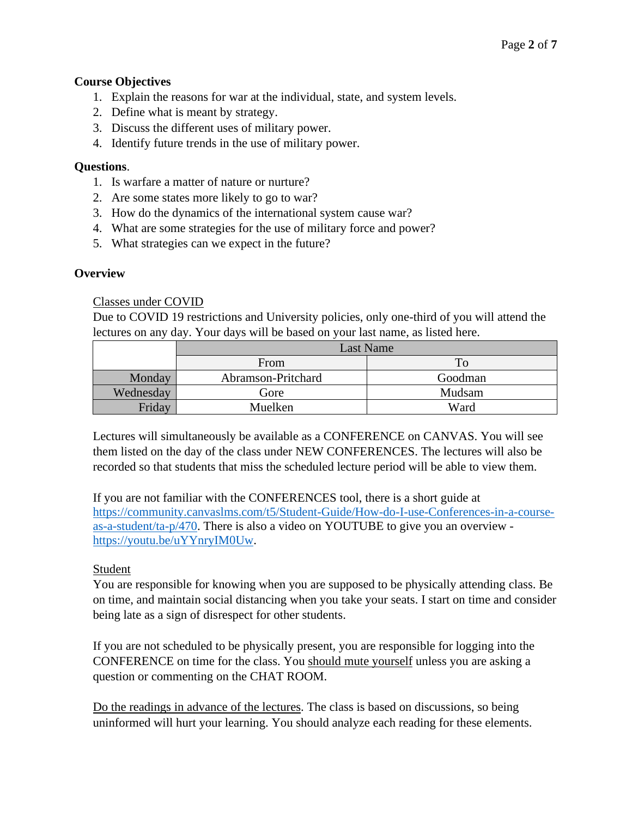### **Course Objectives**

- 1. Explain the reasons for war at the individual, state, and system levels.
- 2. Define what is meant by strategy.
- 3. Discuss the different uses of military power.
- 4. Identify future trends in the use of military power.

### **Questions**.

- 1. Is warfare a matter of nature or nurture?
- 2. Are some states more likely to go to war?
- 3. How do the dynamics of the international system cause war?
- 4. What are some strategies for the use of military force and power?
- 5. What strategies can we expect in the future?

#### **Overview**

### Classes under COVID

Due to COVID 19 restrictions and University policies, only one-third of you will attend the lectures on any day. Your days will be based on your last name, as listed here.

|           | Last Name          |         |  |  |  |
|-----------|--------------------|---------|--|--|--|
| From      |                    |         |  |  |  |
| Monday    | Abramson-Pritchard | Goodman |  |  |  |
| Wednesday | Gore               | Mudsam  |  |  |  |
| Friday    | Muelken            | Ward    |  |  |  |

Lectures will simultaneously be available as a CONFERENCE on CANVAS. You will see them listed on the day of the class under NEW CONFERENCES. The lectures will also be recorded so that students that miss the scheduled lecture period will be able to view them.

If you are not familiar with the CONFERENCES tool, there is a short guide at [https://community.canvaslms.com/t5/Student-Guide/How-do-I-use-Conferences-in-a-course](https://community.canvaslms.com/t5/Student-Guide/How-do-I-use-Conferences-in-a-course-as-a-student/ta-p/470)[as-a-student/ta-p/470.](https://community.canvaslms.com/t5/Student-Guide/How-do-I-use-Conferences-in-a-course-as-a-student/ta-p/470) There is also a video on YOUTUBE to give you an overview [https://youtu.be/uYYnryIM0Uw.](https://youtu.be/uYYnryIM0Uw)

#### Student

You are responsible for knowing when you are supposed to be physically attending class. Be on time, and maintain social distancing when you take your seats. I start on time and consider being late as a sign of disrespect for other students.

If you are not scheduled to be physically present, you are responsible for logging into the CONFERENCE on time for the class. You should mute yourself unless you are asking a question or commenting on the CHAT ROOM.

Do the readings in advance of the lectures. The class is based on discussions, so being uninformed will hurt your learning. You should analyze each reading for these elements.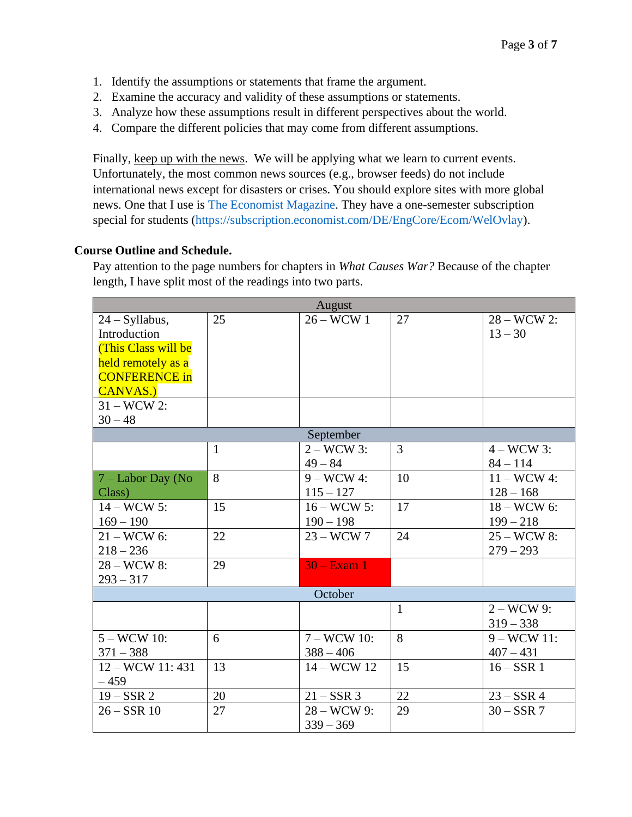- 1. Identify the assumptions or statements that frame the argument.
- 2. Examine the accuracy and validity of these assumptions or statements.
- 3. Analyze how these assumptions result in different perspectives about the world.
- 4. Compare the different policies that may come from different assumptions.

Finally, keep up with the news. We will be applying what we learn to current events. Unfortunately, the most common news sources (e.g., browser feeds) do not include international news except for disasters or crises. You should explore sites with more global news. One that I use is [The Economist Magazine.](http://www.economist.com/) They have a one-semester subscription special for students [\(https://subscription.economist.com/DE/EngCore/Ecom/WelOvlay\)](https://subscription.economist.com/DE/EngCore/Ecom/WelOvlay).

# **Course Outline and Schedule.**

Pay attention to the page numbers for chapters in *What Causes War?* Because of the chapter length, I have split most of the readings into two parts.

|                                                                                                                           |              | August                        |              |                               |  |  |
|---------------------------------------------------------------------------------------------------------------------------|--------------|-------------------------------|--------------|-------------------------------|--|--|
| $24 - Syllabus,$<br>Introduction<br>(This Class will be<br>held remotely as a<br><b>CONFERENCE in</b><br><b>CANVAS.</b> ) | 25           | $26 - WCW$ 1                  | 27           | $28 - WCW 2$ :<br>$13 - 30$   |  |  |
| $31 - WCW 2$ :<br>$30 - 48$                                                                                               |              |                               |              |                               |  |  |
|                                                                                                                           |              | September                     |              |                               |  |  |
|                                                                                                                           | $\mathbf{1}$ | $2 - WCW 3$ :<br>$49 - 84$    | 3            | $4 - WCW 3$ :<br>$84 - 114$   |  |  |
| 7 – Labor Day (No<br>Class)                                                                                               | 8            | $9-WCW$ 4:<br>$115 - 127$     | 10           | $11 - WCW 4$ :<br>$128 - 168$ |  |  |
| $14 - WCW$ 5:<br>$169 - 190$                                                                                              | 15           | $16 - WCW 5$ :<br>$190 - 198$ | 17           | $18 - WCW$ 6:<br>$199 - 218$  |  |  |
| $21 - WCW$ 6:<br>$218 - 236$                                                                                              | 22           | $23 - WCW$ 7                  | 24           | 25 - WCW 8:<br>$279 - 293$    |  |  |
| 28 - WCW 8:<br>$293 - 317$                                                                                                | 29           | $30 - Exam$ 1                 |              |                               |  |  |
| October                                                                                                                   |              |                               |              |                               |  |  |
|                                                                                                                           |              |                               | $\mathbf{1}$ | $2 - WCW$ 9:<br>$319 - 338$   |  |  |
| $5 - WCW$ 10:<br>$371 - 388$                                                                                              | 6            | 7 – WCW 10:<br>$388 - 406$    | 8            | $9 - WCW 11$ :<br>$407 - 431$ |  |  |
| 12 - WCW 11: 431<br>$-459$                                                                                                | 13           | 14 - WCW 12                   | 15           | $16 - SSR$ 1                  |  |  |
| $19 - SSR$ 2                                                                                                              | 20           | $21 - SSR$ 3                  | 22           | $23 - SSR 4$                  |  |  |
| $26 - SSR$ 10                                                                                                             | 27           | 28 - WCW 9:<br>$339 - 369$    | 29           | $30 - SSR$ 7                  |  |  |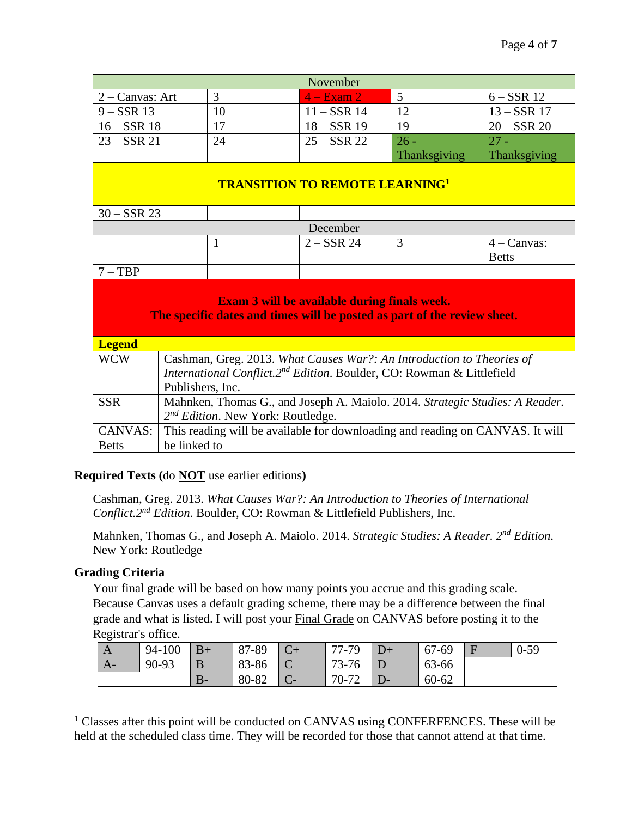| November                                                                                                                        |                                                                              |              |               |                                                                               |               |
|---------------------------------------------------------------------------------------------------------------------------------|------------------------------------------------------------------------------|--------------|---------------|-------------------------------------------------------------------------------|---------------|
|                                                                                                                                 | 3<br>5<br>2 - Canvas: Art<br>$4 - Exam2$                                     |              | $6 - SSR$ 12  |                                                                               |               |
| $9 - SSR$ 13                                                                                                                    |                                                                              | 10           | $11 - SSR$ 14 | 12                                                                            | $13 - SSR$ 17 |
| $16 - SSR$ 18                                                                                                                   |                                                                              | 17           | $18 - SSR$ 19 | 19                                                                            | $20 - SSR$ 20 |
| $23 - SSR$ 21                                                                                                                   |                                                                              | 24           | $25 - SSR$ 22 | $26 -$                                                                        | $27 -$        |
|                                                                                                                                 |                                                                              |              |               | Thanksgiving                                                                  | Thanksgiving  |
| <b>TRANSITION TO REMOTE LEARNING1</b>                                                                                           |                                                                              |              |               |                                                                               |               |
| $30 - SSR$ 23                                                                                                                   |                                                                              |              |               |                                                                               |               |
|                                                                                                                                 |                                                                              |              | December      |                                                                               |               |
|                                                                                                                                 |                                                                              | $\mathbf{1}$ | $2 - SSR$ 24  | 3                                                                             | $4 - Canvas:$ |
|                                                                                                                                 |                                                                              |              |               |                                                                               | <b>Betts</b>  |
| $7 - TBP$                                                                                                                       |                                                                              |              |               |                                                                               |               |
| <b>Exam 3 will be available during finals week.</b><br>The specific dates and times will be posted as part of the review sheet. |                                                                              |              |               |                                                                               |               |
| <b>Legend</b>                                                                                                                   |                                                                              |              |               |                                                                               |               |
| <b>WCW</b><br>Cashman, Greg. 2013. What Causes War?: An Introduction to Theories of                                             |                                                                              |              |               |                                                                               |               |
| International Conflict.2 <sup>nd</sup> Edition. Boulder, CO: Rowman & Littlefield                                               |                                                                              |              |               |                                                                               |               |
|                                                                                                                                 | Publishers, Inc.                                                             |              |               |                                                                               |               |
| <b>SSR</b>                                                                                                                      | Mahnken, Thomas G., and Joseph A. Maiolo. 2014. Strategic Studies: A Reader. |              |               |                                                                               |               |
|                                                                                                                                 | $2^{nd}$ Edition. New York: Routledge.                                       |              |               |                                                                               |               |
| <b>CANVAS:</b>                                                                                                                  |                                                                              |              |               | This reading will be available for downloading and reading on CANVAS. It will |               |
| <b>Betts</b>                                                                                                                    | be linked to                                                                 |              |               |                                                                               |               |

# **Required Texts (**do **NOT** use earlier editions**)**

Cashman, Greg. 2013. *What Causes War?: An Introduction to Theories of International Conflict.2nd Edition*. Boulder, CO: Rowman & Littlefield Publishers, Inc.

Mahnken, Thomas G., and Joseph A. Maiolo. 2014. *Strategic Studies: A Reader. 2nd Edition*. New York: Routledge

#### **Grading Criteria**

Your final grade will be based on how many points you accrue and this grading scale. Because Canvas uses a default grading scheme, there may be a difference between the final grade and what is listed. I will post your Final Grade on CANVAS before posting it to the Registrar's office.

| A    | 94-100 | $B+$    | 87-89 | $-79$<br>77<br>$\sqrt{-}$ | 67-69     | $0 - 59$ |
|------|--------|---------|-------|---------------------------|-----------|----------|
| $A-$ | 90-93  | ┸       | 83-86 | 73-76                     | 63-66     |          |
|      |        | D<br>D- | 80-82 | 70-72                     | $60 - 62$ |          |

<sup>&</sup>lt;sup>1</sup> Classes after this point will be conducted on CANVAS using CONFERFENCES. These will be held at the scheduled class time. They will be recorded for those that cannot attend at that time.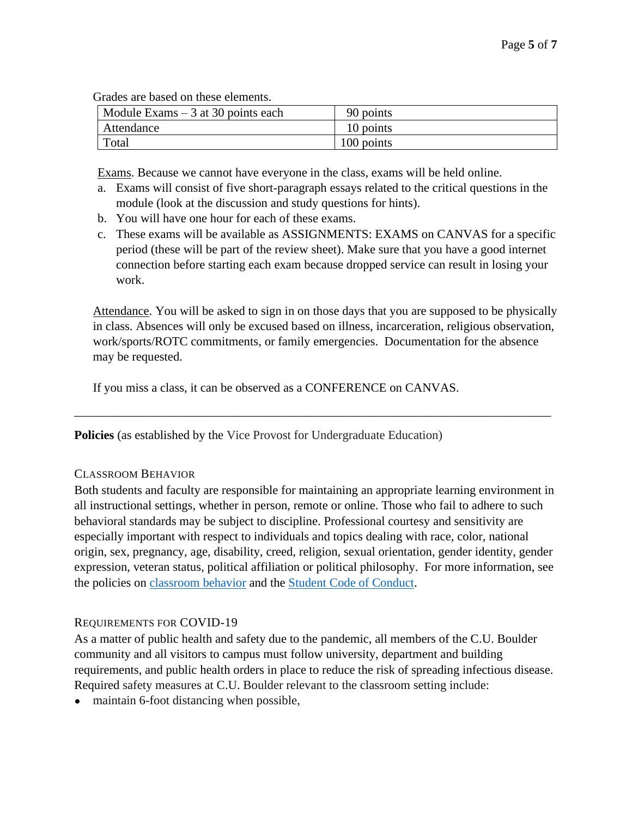Grades are based on these elements.

| $\vert$ Module Exams $-3$ at 30 points each | 90 points  |
|---------------------------------------------|------------|
| Attendance                                  | 10 points  |
| Total                                       | 100 points |

Exams. Because we cannot have everyone in the class, exams will be held online.

- a. Exams will consist of five short-paragraph essays related to the critical questions in the module (look at the discussion and study questions for hints).
- b. You will have one hour for each of these exams.
- c. These exams will be available as ASSIGNMENTS: EXAMS on CANVAS for a specific period (these will be part of the review sheet). Make sure that you have a good internet connection before starting each exam because dropped service can result in losing your work.

Attendance. You will be asked to sign in on those days that you are supposed to be physically in class. Absences will only be excused based on illness, incarceration, religious observation, work/sports/ROTC commitments, or family emergencies. Documentation for the absence may be requested.

If you miss a class, it can be observed as a CONFERENCE on CANVAS.

**Policies** (as established by the Vice Provost for Undergraduate Education)

#### CLASSROOM BEHAVIOR

Both students and faculty are responsible for maintaining an appropriate learning environment in all instructional settings, whether in person, remote or online. Those who fail to adhere to such behavioral standards may be subject to discipline. Professional courtesy and sensitivity are especially important with respect to individuals and topics dealing with race, color, national origin, sex, pregnancy, age, disability, creed, religion, sexual orientation, gender identity, gender expression, veteran status, political affiliation or political philosophy. For more information, see the policies on [classroom behavior](http://www.colorado.edu/policies/student-classroom-and-course-related-behavior) and the [Student Code of Conduct.](https://www.colorado.edu/sccr/sites/default/files/attached-files/2019-2020_student_code_of_conduct_0.pdf)

\_\_\_\_\_\_\_\_\_\_\_\_\_\_\_\_\_\_\_\_\_\_\_\_\_\_\_\_\_\_\_\_\_\_\_\_\_\_\_\_\_\_\_\_\_\_\_\_\_\_\_\_\_\_\_\_\_\_\_\_\_\_\_\_\_\_\_\_\_\_\_\_\_\_\_\_\_

# REQUIREMENTS FOR COVID-19

As a matter of public health and safety due to the pandemic, all members of the C.U. Boulder community and all visitors to campus must follow university, department and building requirements, and public health orders in place to reduce the risk of spreading infectious disease. Required safety measures at C.U. Boulder relevant to the classroom setting include:

• maintain 6-foot distancing when possible,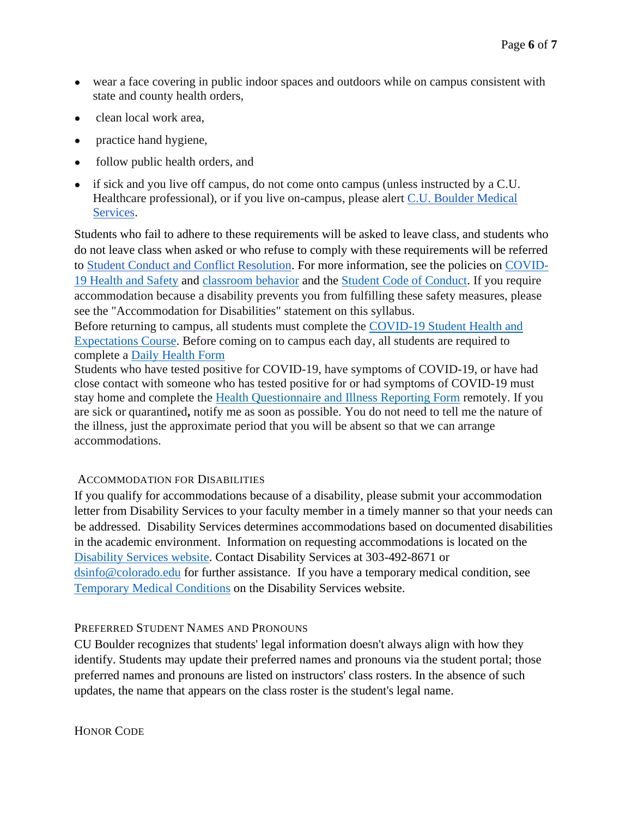- wear a face covering in public indoor spaces and outdoors while on campus consistent with state and county health orders,
- clean local work area,
- practice hand hygiene,
- follow public health orders, and
- if sick and you live off campus, do not come onto campus (unless instructed by a C.U. Healthcare professional), or if you live on-campus, please alert [C.U. Boulder Medical](https://www.colorado.edu/healthcenter/coronavirus-updates/symptoms-and-what-do-if-you-feel-sick)  [Services.](https://www.colorado.edu/healthcenter/coronavirus-updates/symptoms-and-what-do-if-you-feel-sick)

Students who fail to adhere to these requirements will be asked to leave class, and students who do not leave class when asked or who refuse to comply with these requirements will be referred to [Student Conduct and Conflict Resolution.](https://www.colorado.edu/sccr/) For more information, see the policies on [COVID-](https://www.colorado.edu/policies/covid-19-health-and-safety-policy)[19 Health and Safety](https://www.colorado.edu/policies/covid-19-health-and-safety-policy) and [classroom behavior](http://www.colorado.edu/policies/student-classroom-and-course-related-behavior) and the [Student Code of Conduct.](http://www.colorado.edu/osccr/) If you require accommodation because a disability prevents you from fulfilling these safety measures, please see the "Accommodation for Disabilities" statement on this syllabus.

Before returning to campus, all students must complete the [COVID-19 Student Health and](https://www.colorado.edu/protect-our-herd/how#anchor1)  [Expectations Course.](https://www.colorado.edu/protect-our-herd/how#anchor1) Before coming on to campus each day, all students are required to complete a [Daily Health Form](https://www.colorado.edu/protect-our-herd/daily-health-form)

Students who have tested positive for COVID-19, have symptoms of COVID-19, or have had close contact with someone who has tested positive for or had symptoms of COVID-19 must stay home and complete the [Health Questionnaire and Illness Reporting Form](https://www.colorado.edu/protect-our-herd/daily-health-form) remotely. If you are sick or quarantined**,** notify me as soon as possible. You do not need to tell me the nature of the illness, just the approximate period that you will be absent so that we can arrange accommodations.

# ACCOMMODATION FOR DISABILITIES

If you qualify for accommodations because of a disability, please submit your accommodation letter from Disability Services to your faculty member in a timely manner so that your needs can be addressed. Disability Services determines accommodations based on documented disabilities in the academic environment. Information on requesting accommodations is located on the [Disability Services website.](https://www.colorado.edu/disabilityservices/) Contact Disability Services at 303-492-8671 or [dsinfo@colorado.edu](mailto:dsinfo@colorado.edu) for further assistance. If you have a temporary medical condition, see [Temporary Medical Conditions](http://www.colorado.edu/disabilityservices/students/temporary-medical-conditions) on the Disability Services website.

# PREFERRED STUDENT NAMES AND PRONOUNS

CU Boulder recognizes that students' legal information doesn't always align with how they identify. Students may update their preferred names and pronouns via the student portal; those preferred names and pronouns are listed on instructors' class rosters. In the absence of such updates, the name that appears on the class roster is the student's legal name.

HONOR CODE